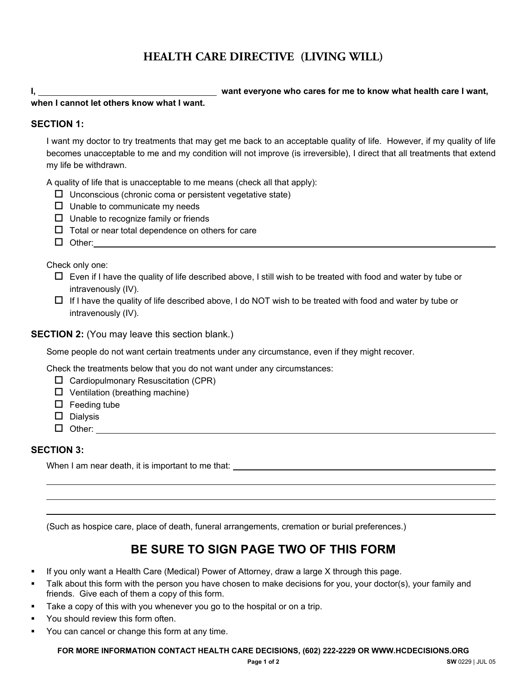# **HEALTH CARE DIRECTIVE (LIVING WILL)**

**I, want everyone who cares for me to know what health care I want, when I cannot let others know what I want.** 

#### **SECTION 1:**

I want my doctor to try treatments that may get me back to an acceptable quality of life. However, if my quality of life becomes unacceptable to me and my condition will not improve (is irreversible), I direct that all treatments that extend my life be withdrawn.

A quality of life that is unacceptable to me means (check all that apply):

- $\square$  Unconscious (chronic coma or persistent vegetative state)
- $\Box$  Unable to communicate my needs
- $\Box$  Unable to recognize family or friends
- $\Box$  Total or near total dependence on others for care
- $\Box$  Other:

Check only one:

- $\Box$  Even if I have the quality of life described above, I still wish to be treated with food and water by tube or intravenously (IV).
- $\Box$  If I have the quality of life described above, I do NOT wish to be treated with food and water by tube or intravenously (IV).

#### **SECTION 2:** (You may leave this section blank.)

Some people do not want certain treatments under any circumstance, even if they might recover.

Check the treatments below that you do not want under any circumstances:

- $\Box$  Cardiopulmonary Resuscitation (CPR)
- $\Box$  Ventilation (breathing machine)
- $\square$  Feeding tube
- $\square$  Dialysis
- □ Other: with a contract of the contract of the contract of the contract of the contract of the contract of the contract of the contract of the contract of the contract of the contract of the contract of the contract of t

### **SECTION 3:**

When I am near death, it is important to me that: \_\_\_\_\_\_\_\_\_\_\_\_\_\_\_\_\_\_\_\_\_\_\_\_\_\_\_\_\_\_

(Such as hospice care, place of death, funeral arrangements, cremation or burial preferences.)

# **BE SURE TO SIGN PAGE TWO OF THIS FORM**

- **If you only want a Health Care (Medical) Power of Attorney, draw a large X through this page.**
- Talk about this form with the person you have chosen to make decisions for you, your doctor(s), your family and friends. Give each of them a copy of this form.
- Take a copy of this with you whenever you go to the hospital or on a trip.
- You should review this form often.
- You can cancel or change this form at any time.

**FOR MORE INFORMATION CONTACT HEALTH CARE DECISIONS, (602) 222-2229 OR WWW.HCDECISIONS.ORG**